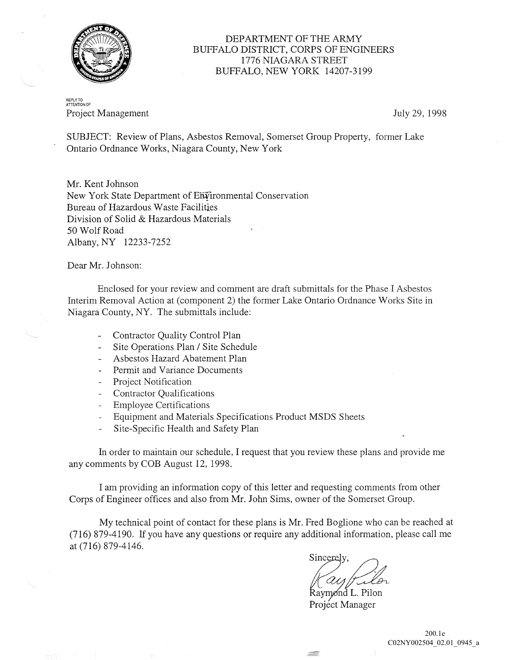

## DEPARTMENT OF THE ARMY BUFFALO DISTRICT, CORPS OF ENGINEERS 1776 NIAGARA STREET BUFFALO, NEW YORK 14207-3199

REPLY TO<br>ATTENTION OF Project Management **Iuly 29, 1998** 

SUBJECT: Review of Plans, Asbestos Removal, Somerset Group Property, former Lake Ontario Ordnance Works, Niagara County, New York

Mr. Kent Johnson New York State Department of Eii¥'ironmental Conservation Bureau of Hazardous Waste Facilities Division of Solid & Hazardous Materials 50 Wolf Road Albany, NY 12233-7252

Dear Mr. Johnson:

Enclosed for your review and comment are draft submittals for the Phase I Asbestos Interim Removal Action at (component 2) the former Lake Ontario Ordnance Works Site in Niagara County, NY. The submittals include:

- Contractor Quality Control Plan
- Site Operations Plan / Site Schedule  $\mathbf{r}$
- Asbestos Hazard Abatement Plan
- Permit and Variance Documents
- Project Notification
- Contractor Qualifications
- Employee Certifications
- Equipment and Materials Specifications Product MSDS Sheets
- Site-Specific Health and Safety Plan

In order to maintain our schedule, I request that you review these plans and provide me any comments by COB August 12, 1998.

I am providing an information copy of this letter and requesting comments from other Corps of Engineer offices and also from Mr. John Sims, owner of the Somerset Group.

My technical point of contact for these plans is Mr. Fred Boglione who can be reached at (716) 879-4190. If you have any questions or require any additional information, please call me at (716) 879-4146.

Sincerely,

Raymond L. Pilon Projéct Manager